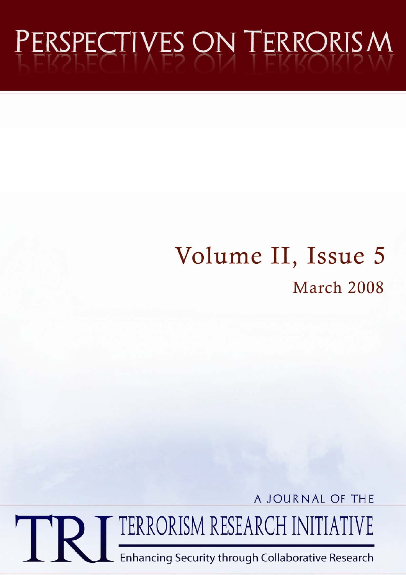# PERSPECTIVES ON TERRORISM

# Volume II, Issue 5 March 2008

A JOURNAL OF THE

TERRORISM RESEARCH INITIATIVE

Enhancing Security through Collaborative Research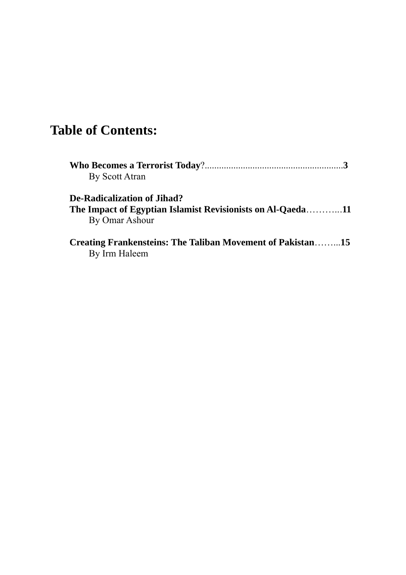# **Table of Contents:**

| By Scott Atran                                             |  |
|------------------------------------------------------------|--|
| De-Radicalization of Jihad?                                |  |
|                                                            |  |
| By Omar Ashour                                             |  |
| Creating Frankensteins: The Taliban Movement of Pakistan15 |  |
| By Irm Haleem                                              |  |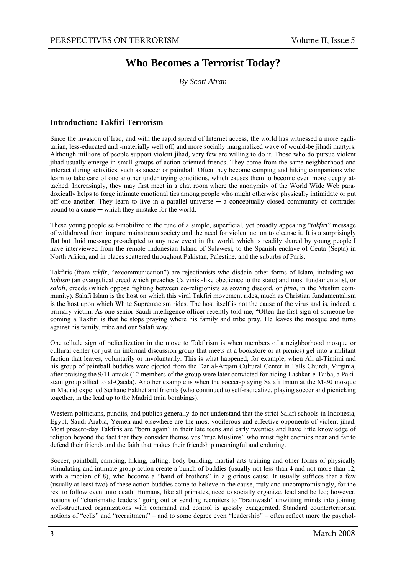# **Who Becomes a Terrorist Today?**

*By Scott Atran* 

#### **Introduction: Takfiri Terrorism**

Since the invasion of Iraq, and with the rapid spread of Internet access, the world has witnessed a more egalitarian, less-educated and -materially well off, and more socially marginalized wave of would-be jihadi martyrs. Although millions of people support violent jihad, very few are willing to do it. Those who do pursue violent jihad usually emerge in small groups of action-oriented friends. They come from the same neighborhood and interact during activities, such as soccer or paintball. Often they become camping and hiking companions who learn to take care of one another under trying conditions, which causes them to become even more deeply attached. Increasingly, they may first meet in a chat room where the anonymity of the World Wide Web paradoxically helps to forge intimate emotional ties among people who might otherwise physically intimidate or put off one another. They learn to live in a parallel universe  $-$  a conceptually closed community of comrades bound to a cause — which they mistake for the world.

These young people self-mobilize to the tune of a simple, superficial, yet broadly appealing "*takfiri*" message of withdrawal from impure mainstream society and the need for violent action to cleanse it. It is a surprisingly flat but fluid message pre-adapted to any new event in the world, which is readily shared by young people I have interviewed from the remote Indonesian Island of Sulawesi, to the Spanish enclave of Ceuta (Septa) in North Africa, and in places scattered throughout Pakistan, Palestine, and the suburbs of Paris.

Takfiris (from *takfir*, "excommunication") are rejectionists who disdain other forms of Islam, including *wahabism* (an evangelical creed which preaches Calvinist-like obedience to the state) and most fundamentalist, or *salafi*, creeds (which oppose fighting between co-religionists as sowing discord, or *fitna*, in the Muslim community). Salafi Islam is the host on which this viral Takfiri movement rides, much as Christian fundamentalism is the host upon which White Supremacism rides. The host itself is not the cause of the virus and is, indeed, a primary victim. As one senior Saudi intelligence officer recently told me, "Often the first sign of someone becoming a Takfiri is that he stops praying where his family and tribe pray. He leaves the mosque and turns against his family, tribe and our Salafi way."

One telltale sign of radicalization in the move to Takfirism is when members of a neighborhood mosque or cultural center (or just an informal discussion group that meets at a bookstore or at picnics) gel into a militant faction that leaves, voluntarily or involuntarily. This is what happened, for example, when Ali al-Timimi and his group of paintball buddies were ejected from the Dar al-Arqam Cultural Center in Falls Church, Virginia, after praising the 9/11 attack (12 members of the group were later convicted for aiding Lashkar-e-Taiba, a Pakistani group allied to al-Qaeda). Another example is when the soccer-playing Salafi Imam at the M-30 mosque in Madrid expelled Serhane Fakhet and friends (who continued to self-radicalize, playing soccer and picnicking together, in the lead up to the Madrid train bombings).

Western politicians, pundits, and publics generally do not understand that the strict Salafi schools in Indonesia, Egypt, Saudi Arabia, Yemen and elsewhere are the most vociferous and effective opponents of violent jihad. Most present-day Takfiris are "born again" in their late teens and early twenties and have little knowledge of religion beyond the fact that they consider themselves "true Muslims" who must fight enemies near and far to defend their friends and the faith that makes their friendship meaningful and enduring.

Soccer, paintball, camping, hiking, rafting, body building, martial arts training and other forms of physically stimulating and intimate group action create a bunch of buddies (usually not less than 4 and not more than 12, with a median of 8), who become a "band of brothers" in a glorious cause. It usually suffices that a few (usually at least two) of these action buddies come to believe in the cause, truly and uncompromisingly, for the rest to follow even unto death. Humans, like all primates, need to socially organize, lead and be led; however, notions of "charismatic leaders" going out or sending recruiters to "brainwash" unwitting minds into joining well-structured organizations with command and control is grossly exaggerated. Standard counterterrorism notions of "cells" and "recruitment" – and to some degree even "leadership" – often reflect more the psychol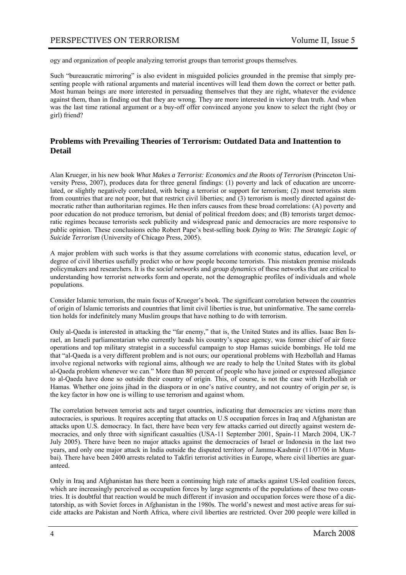ogy and organization of people analyzing terrorist groups than terrorist groups themselves.

Such "bureaucratic mirroring" is also evident in misguided policies grounded in the premise that simply presenting people with rational arguments and material incentives will lead them down the correct or better path. Most human beings are more interested in persuading themselves that they are right, whatever the evidence against them, than in finding out that they are wrong. They are more interested in victory than truth. And when was the last time rational argument or a buy-off offer convinced anyone you know to select the right (boy or girl) friend?

#### **Problems with Prevailing Theories of Terrorism: Outdated Data and Inattention to Detail**

Alan Krueger, in his new book *What Makes a Terrorist: Economics and the Roots of Terrorism* (Princeton University Press, 2007), produces data for three general findings: (1) poverty and lack of education are uncorrelated, or slightly negatively correlated, with being a terrorist or support for terrorism; (2) most terrorists stem from countries that are not poor, but that restrict civil liberties; and (3) terrorism is mostly directed against democratic rather than authoritarian regimes. He then infers causes from these broad correlations: (A) poverty and poor education do not produce terrorism, but denial of political freedom does; and (B) terrorists target democratic regimes because terrorists seek publicity and widespread panic and democracies are more responsive to public opinion. These conclusions echo Robert Pape's best-selling book *Dying to Win*: *The Strategic Logic of Suicide Terrorism* (University of Chicago Press, 2005).

A major problem with such works is that they assume correlations with economic status, education level, or degree of civil liberties usefully predict who or how people become terrorists. This mistaken premise misleads policymakers and researchers. It is the *social networks* and *group dynamics* of these networks that are critical to understanding how terrorist networks form and operate, not the demographic profiles of individuals and whole populations.

Consider Islamic terrorism, the main focus of Krueger's book. The significant correlation between the countries of origin of Islamic terrorists and countries that limit civil liberties is true, but uninformative. The same correlation holds for indefinitely many Muslim groups that have nothing to do with terrorism.

Only al-Qaeda is interested in attacking the "far enemy," that is, the United States and its allies. Isaac Ben Israel, an Israeli parliamentarian who currently heads his country's space agency, was former chief of air force operations and top military strategist in a successful campaign to stop Hamas suicide bombings. He told me that "al-Qaeda is a very different problem and is not ours; our operational problems with Hezbollah and Hamas involve regional networks with regional aims, although we are ready to help the United States with its global al-Qaeda problem whenever we can." More than 80 percent of people who have joined or expressed allegiance to al-Qaeda have done so outside their country of origin. This, of course, is not the case with Hezbollah or Hamas. Whether one joins jihad in the diaspora or in one's native country, and not country of origin *per se*, is the key factor in how one is willing to use terrorism and against whom.

The correlation between terrorist acts and target countries, indicating that democracies are victims more than autocracies, is spurious. It requires accepting that attacks on U.S occupation forces in Iraq and Afghanistan are attacks upon U.S. democracy. In fact, there have been very few attacks carried out directly against western democracies, and only three with significant casualties (USA-11 September 2001, Spain-11 March 2004, UK-7 July 2005). There have been no major attacks against the democracies of Israel or Indonesia in the last two years, and only one major attack in India outside the disputed territory of Jammu-Kashmir (11/07/06 in Mumbai). There have been 2400 arrests related to Takfiri terrorist activities in Europe, where civil liberties are guaranteed.

Only in Iraq and Afghanistan has there been a continuing high rate of attacks against US-led coalition forces, which are increasingly perceived as occupation forces by large segments of the populations of these two countries. It is doubtful that reaction would be much different if invasion and occupation forces were those of a dictatorship, as with Soviet forces in Afghanistan in the 1980s. The world's newest and most active areas for suicide attacks are Pakistan and North Africa, where civil liberties are restricted. Over 200 people were killed in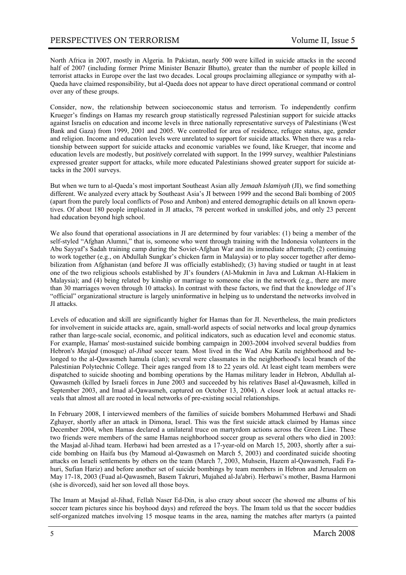North Africa in 2007, mostly in Algeria. In Pakistan, nearly 500 were killed in suicide attacks in the second half of 2007 (including former Prime Minister Benazir Bhutto), greater than the number of people killed in terrorist attacks in Europe over the last two decades. Local groups proclaiming allegiance or sympathy with al-Qaeda have claimed responsibility, but al-Qaeda does not appear to have direct operational command or control over any of these groups.

Consider, now, the relationship between socioeconomic status and terrorism. To independently confirm Krueger's findings on Hamas my research group statistically regressed Palestinian support for suicide attacks against Israelis on education and income levels in three nationally representative surveys of Palestinians (West Bank and Gaza) from 1999, 2001 and 2005. We controlled for area of residence, refugee status, age, gender and religion. Income and education levels were unrelated to support for suicide attacks. When there was a relationship between support for suicide attacks and economic variables we found, like Krueger, that income and education levels are modestly, but *positively* correlated with support. In the 1999 survey, wealthier Palestinians expressed greater support for attacks, while more educated Palestinians showed greater support for suicide attacks in the 2001 surveys.

But when we turn to al-Qaeda's most important Southeast Asian ally *Jemaah Islamiyah* (JI), we find something different. We analyzed every attack by Southeast Asia's JI between 1999 and the second Bali bombing of 2005 (apart from the purely local conflicts of Poso and Ambon) and entered demographic details on all known operatives. Of about 180 people implicated in JI attacks, 78 percent worked in unskilled jobs, and only 23 percent had education beyond high school.

We also found that operational associations in JI are determined by four variables: (1) being a member of the self-styled "Afghan Alumni," that is, someone who went through training with the Indonesia volunteers in the Abu Sayyaf's Sadah training camp during the Soviet-Afghan War and its immediate aftermath; (2) continuing to work together (e.g., on Abdullah Sungkar's chicken farm in Malaysia) or to play soccer together after demobilization from Afghanistan (and before JI was officially established); (3) having studied or taught in at least one of the two religious schools established by JI's founders (Al-Mukmin in Java and Lukman Al-Hakiem in Malaysia); and (4) being related by kinship or marriage to someone else in the network (e.g., there are more than 30 marriages woven through 10 attacks). In contrast with these factors, we find that the knowledge of JI's "official" organizational structure is largely uninformative in helping us to understand the networks involved in JI attacks.

Levels of education and skill are significantly higher for Hamas than for JI. Nevertheless, the main predictors for involvement in suicide attacks are, again, small-world aspects of social networks and local group dynamics rather than large-scale social, economic, and political indicators, such as education level and economic status. For example, Hamas' most-sustained suicide bombing campaign in 2003-2004 involved several buddies from Hebron's *Masjad* (mosque) *al-Jihad* soccer team. Most lived in the Wad Abu Katila neighborhood and belonged to the al-Qawasmeh hamula (clan); several were classmates in the neighborhood's local branch of the Palestinian Polytechnic College. Their ages ranged from 18 to 22 years old. At least eight team members were dispatched to suicide shooting and bombing operations by the Hamas military leader in Hebron, Abdullah al-Qawasmeh (killed by Israeli forces in June 2003 and succeeded by his relatives Basel al-Qawasmeh, killed in September 2003, and Imad al-Qawasmeh, captured on October 13, 2004). A closer look at actual attacks reveals that almost all are rooted in local networks of pre-existing social relationships.

In February 2008, I interviewed members of the families of suicide bombers Mohammed Herbawi and Shadi Zghayer, shortly after an attack in Dimona, Israel. This was the first suicide attack claimed by Hamas since December 2004, when Hamas declared a unilateral truce on martyrdom actions across the Green Line. These two friends were members of the same Hamas neighborhood soccer group as several others who died in 2003: the Masjad al-Jihad team. Herbawi had been arrested as a 17-year-old on March 15, 2003, shortly after a suicide bombing on Haifa bus (by Mamoud al-Qawasmeh on March 5, 2003) and coordinated suicide shooting attacks on Israeli settlements by others on the team (March 7, 2003, Muhsein, Hazem al-Qawasmeh, Fadi Fahuri, Sufian Hariz) and before another set of suicide bombings by team members in Hebron and Jerusalem on May 17-18, 2003 (Fuad al-Qawasmeh, Basem Takruri, Mujahed al-Ja'abri). Herbawi's mother, Basma Harmoni (she is divorced), said her son loved all those boys.

The Imam at Masjad al-Jihad, Fellah Naser Ed-Din, is also crazy about soccer (he showed me albums of his soccer team pictures since his boyhood days) and refereed the boys. The Imam told us that the soccer buddies self-organized matches involving 15 mosque teams in the area, naming the matches after martyrs (a painted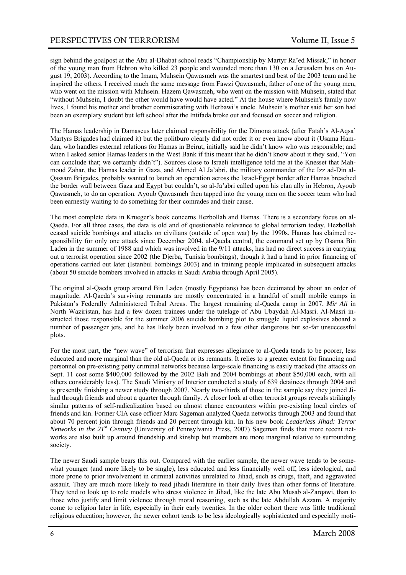sign behind the goalpost at the Abu al-Dhabat school reads "Championship by Martyr Ra'ed Missak," in honor of the young man from Hebron who killed 23 people and wounded more than 130 on a Jerusalem bus on August 19, 2003). According to the Imam, Muhsein Qawasmeh was the smartest and best of the 2003 team and he inspired the others. I received much the same message from Fawzi Qawasmeh, father of one of the young men, who went on the mission with Muhsein. Hazem Qawasmeh, who went on the mission with Muhsein, stated that "without Muhsein, I doubt the other would have would have acted." At the house where Muhsein's family now lives, I found his mother and brother commiserating with Herbawi's uncle. Muhsein's mother said her son had been an exemplary student but left school after the Intifada broke out and focused on soccer and religion.

The Hamas leadership in Damascus later claimed responsibility for the Dimona attack (after Fatah's Al-Aqsa' Martyrs Brigades had claimed it) but the politburo clearly did not order it or even know about it (Usama Hamdan, who handles external relations for Hamas in Beirut, initially said he didn't know who was responsible; and when I asked senior Hamas leaders in the West Bank if this meant that he didn't know about it they said, "You can conclude that; we certainly didn't"). Sources close to Israeli intelligence told me at the Knesset that Mahmoud Zahar, the Hamas leader in Gaza, and Ahmed Al Ja'abri, the military commander of the Izz ad-Din al-Qassam Brigades, probably wanted to launch an operation across the Israel-Egypt border after Hamas breached the border wall between Gaza and Egypt but couldn't, so al-Ja'abri called upon his clan ally in Hebron, Ayoub Qawasmeh, to do an operation. Ayoub Qawasmeh then tapped into the young men on the soccer team who had been earnestly waiting to do something for their comrades and their cause.

The most complete data in Krueger's book concerns Hezbollah and Hamas. There is a secondary focus on al-Qaeda. For all three cases, the data is old and of questionable relevance to global terrorism today. Hezbollah ceased suicide bombings and attacks on civilians (outside of open war) by the 1990s. Hamas has claimed responsibility for only one attack since December 2004. al-Qaeda central, the command set up by Osama Bin Laden in the summer of 1988 and which was involved in the 9/11 attacks, has had no direct success in carrying out a terrorist operation since 2002 (the Djerba, Tunisia bombings), though it had a hand in prior financing of operations carried out later (Istanbul bombings 2003) and in training people implicated in subsequent attacks (about 50 suicide bombers involved in attacks in Saudi Arabia through April 2005).

The original al-Qaeda group around Bin Laden (mostly Egyptians) has been decimated by about an order of magnitude. Al-Qaeda's surviving remnants are mostly concentrated in a handful of small mobile camps in Pakistan's Federally Administered Tribal Areas. The largest remaining al-Qaeda camp in 2007, *Mir Ali* in North Waziristan, has had a few dozen trainees under the tutelage of Abu Ubaydah Al-Masri. Al-Masri instructed those responsible for the summer 2006 suicide bombing plot to smuggle liquid explosives aboard a number of passenger jets, and he has likely been involved in a few other dangerous but so-far unsuccessful plots.

For the most part, the "new wave" of terrorism that expresses allegiance to al-Qaeda tends to be poorer, less educated and more marginal than the old al-Qaeda or its remnants. It relies to a greater extent for financing and personnel on pre-existing petty criminal networks because large-scale financing is easily tracked (the attacks on Sept. 11 cost some \$400,000 followed by the 2002 Bali and 2004 bombings at about \$50,000 each, with all others considerably less). The Saudi Ministry of Interior conducted a study of 639 detainees through 2004 and is presently finishing a newer study through 2007. Nearly two-thirds of those in the sample say they joined Jihad through friends and about a quarter through family. A closer look at other terrorist groups reveals strikingly similar patterns of self-radicalization based on almost chance encounters within pre-existing local circles of friends and kin. Former CIA case officer Marc Sageman analyzed Qaeda networks through 2003 and found that about 70 percent join through friends and 20 percent through kin. In his new book *Leaderless Jihad: Terror Networks in the 21st Century* (University of Pennsylvania Press, 2007) Sageman finds that more recent networks are also built up around friendship and kinship but members are more marginal relative to surrounding society.

The newer Saudi sample bears this out. Compared with the earlier sample, the newer wave tends to be somewhat younger (and more likely to be single), less educated and less financially well off, less ideological, and more prone to prior involvement in criminal activities unrelated to Jihad, such as drugs, theft, and aggravated assault. They are much more likely to read jihadi literature in their daily lives than other forms of literature. They tend to look up to role models who stress violence in Jihad, like the late Abu Musab al-Zarqawi, than to those who justify and limit violence through moral reasoning, such as the late Abdullah Azzam. A majority come to religion later in life, especially in their early twenties. In the older cohort there was little traditional religious education; however, the newer cohort tends to be less ideologically sophisticated and especially moti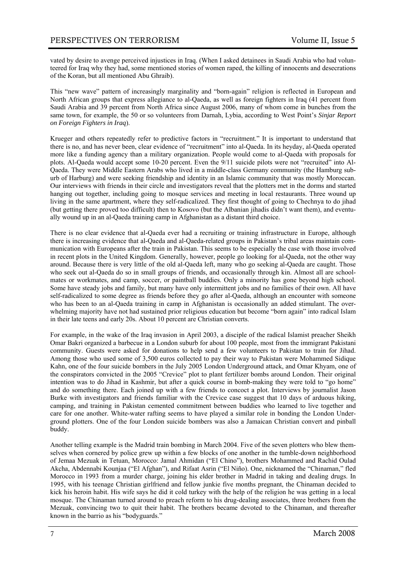vated by desire to avenge perceived injustices in Iraq. (When I asked detainees in Saudi Arabia who had volunteered for Iraq why they had, some mentioned stories of women raped, the killing of innocents and desecrations of the Koran, but all mentioned Abu Ghraib).

This "new wave" pattern of increasingly marginality and "born-again" religion is reflected in European and North African groups that express allegiance to al-Qaeda, as well as foreign fighters in Iraq (41 percent from Saudi Arabia and 39 percent from North Africa since August 2006, many of whom come in bunches from the same town, for example, the 50 or so volunteers from Darnah, Lybia, according to West Point's *Sinjar Report on Foreign Fighters in Iraq*).

Krueger and others repeatedly refer to predictive factors in "recruitment." It is important to understand that there is no, and has never been, clear evidence of "recruitment" into al-Qaeda. In its heyday, al-Qaeda operated more like a funding agency than a military organization. People would come to al-Qaeda with proposals for plots. Al-Qaeda would accept some 10-20 percent. Even the 9/11 suicide pilots were not "recruited" into Al-Qaeda. They were Middle Eastern Arabs who lived in a middle-class Germany community (the Hamburg suburb of Harburg) and were seeking friendship and identity in an Islamic community that was mostly Moroccan. Our interviews with friends in their circle and investigators reveal that the plotters met in the dorms and started hanging out together, including going to mosque services and meeting in local restaurants. Three wound up living in the same apartment, where they self-radicalized. They first thought of going to Chechnya to do jihad (but getting there proved too difficult) then to Kosovo (but the Albanian jihadis didn't want them), and eventually wound up in an al-Qaeda training camp in Afghanistan as a distant third choice.

There is no clear evidence that al-Qaeda ever had a recruiting or training infrastructure in Europe, although there is increasing evidence that al-Qaeda and al-Qaeda-related groups in Pakistan's tribal areas maintain communication with Europeans after the train in Pakistan. This seems to be especially the case with those involved in recent plots in the United Kingdom. Generally, however, people go looking for al-Qaeda, not the other way around. Because there is very little of the old al-Qaeda left, many who go seeking al-Qaeda are caught. Those who seek out al-Qaeda do so in small groups of friends, and occasionally through kin. Almost all are schoolmates or workmates, and camp, soccer, or paintball buddies. Only a minority has gone beyond high school. Some have steady jobs and family, but many have only intermittent jobs and no families of their own. All have self-radicalized to some degree as friends before they go after al-Qaeda, although an encounter with someone who has been to an al-Qaeda training in camp in Afghanistan is occasionally an added stimulant. The overwhelming majority have not had sustained prior religious education but become "born again" into radical Islam in their late teens and early 20s. About 10 percent are Christian converts.

For example, in the wake of the Iraq invasion in April 2003, a disciple of the radical Islamist preacher Sheikh Omar Bakri organized a barbecue in a London suburb for about 100 people, most from the immigrant Pakistani community. Guests were asked for donations to help send a few volunteers to Pakistan to train for Jihad. Among those who used some of 3,500 euros collected to pay their way to Pakistan were Mohammed Sidique Kahn, one of the four suicide bombers in the July 2005 London Underground attack, and Omar Khyam, one of the conspirators convicted in the 2005 "Crevice" plot to plant fertilizer bombs around London. Their original intention was to do Jihad in Kashmir, but after a quick course in bomb-making they were told to "go home" and do something there. Each joined up with a few friends to concoct a plot. Interviews by journalist Jason Burke with investigators and friends familiar with the Crevice case suggest that 10 days of arduous hiking, camping, and training in Pakistan cemented commitment between buddies who learned to live together and care for one another. White-water rafting seems to have played a similar role in bonding the London Underground plotters. One of the four London suicide bombers was also a Jamaican Christian convert and pinball buddy.

Another telling example is the Madrid train bombing in March 2004. Five of the seven plotters who blew themselves when cornered by police grew up within a few blocks of one another in the tumble-down neighborhood of Jemaa Mezuak in Tetuan, Morocco: Jamal Ahmidan ("El Chino"), brothers Mohammed and Rachid Oulad Akcha, Abdennabi Kounjaa ("El Afghan"), and Rifaat Asrin ("El Niño). One, nicknamed the "Chinaman," fled Morocco in 1993 from a murder charge, joining his elder brother in Madrid in taking and dealing drugs. In 1995, with his teenage Christian girlfriend and fellow junkie five months pregnant, the Chinaman decided to kick his heroin habit. His wife says he did it cold turkey with the help of the religion he was getting in a local mosque. The Chinaman turned around to preach reform to his drug-dealing associates, three brothers from the Mezuak, convincing two to quit their habit. The brothers became devoted to the Chinaman, and thereafter known in the barrio as his "bodyguards."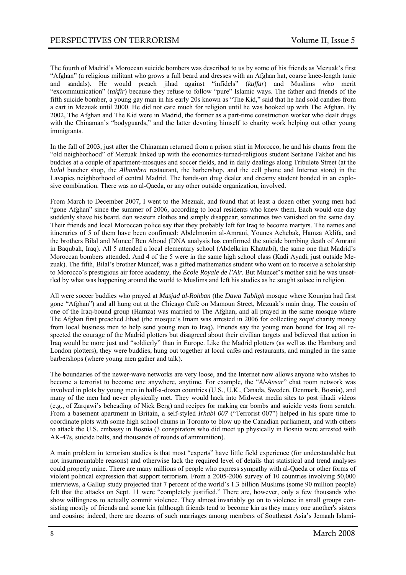The fourth of Madrid's Moroccan suicide bombers was described to us by some of his friends as Mezuak's first "Afghan" (a religious militant who grows a full beard and dresses with an Afghan hat, coarse knee-length tunic and sandals). He would preach jihad against "infidels" (*kuffar*) and Muslims who merit "excommunication" (*takfir*) because they refuse to follow "pure" Islamic ways. The father and friends of the fifth suicide bomber, a young gay man in his early 20s known as "The Kid," said that he had sold candies from a cart in Mezuak until 2000. He did not care much for religion until he was hooked up with The Afghan. By 2002, The Afghan and The Kid were in Madrid, the former as a part-time construction worker who dealt drugs with the Chinaman's "bodyguards," and the latter devoting himself to charity work helping out other young immigrants.

In the fall of 2003, just after the Chinaman returned from a prison stint in Morocco, he and his chums from the "old neighborhood" of Mezuak linked up with the economics-turned-religious student Serhane Fakhet and his buddies at a couple of apartment-mosques and soccer fields, and in daily dealings along Tribulete Street (at the *halal* butcher shop, the *Alhambra* restaurant, the barbershop, and the cell phone and Internet store) in the Lavapies neighborhood of central Madrid. The hands-on drug dealer and dreamy student bonded in an explosive combination. There was no al-Qaeda, or any other outside organization, involved.

From March to December 2007, I went to the Mezuak, and found that at least a dozen other young men had "gone Afghan" since the summer of 2006, according to local residents who knew them. Each would one day suddenly shave his beard, don western clothes and simply disappear; sometimes two vanished on the same day. Their friends and local Moroccan police say that they probably left for Iraq to become martyrs. The names and itineraries of 5 of them have been confirmed: Abdelmonim al-Amrani, Younes Achebak, Hamza Aklifa, and the brothers Bilal and Muncef Ben Aboud (DNA analysis has confirmed the suicide bombing death of Amrani in Baqubah, Iraq). All 5 attended a local elementary school (Abdelkrim Khattabi), the same one that Madrid's Moroccan bombers attended. And 4 of the 5 were in the same high school class (Kadi Ayadi, just outside Mezuak). The fifth, Bilal's brother Muncef, was a gifted mathematics student who went on to receive a scholarship to Morocco's prestigious air force academy, the *École Royale de l'Air*. But Muncef's mother said he was unsettled by what was happening around the world to Muslims and left his studies as he sought solace in religion.

All were soccer buddies who prayed at *Masjad al-Rohban* (the *Dawa Tabligh* mosque where Kounjaa had first gone "Afghan") and all hung out at the Chicago Café on Mamoun Street, Mezuak's main drag. The cousin of one of the Iraq-bound group (Hamza) was married to The Afghan, and all prayed in the same mosque where The Afghan first preached Jihad (the mosque's Imam was arrested in 2006 for collecting *zaqat* charity money from local business men to help send young men to Iraq). Friends say the young men bound for Iraq all respected the courage of the Madrid plotters but disagreed about their civilian targets and believed that action in Iraq would be more just and "soldierly" than in Europe. Like the Madrid plotters (as well as the Hamburg and London plotters), they were buddies, hung out together at local cafés and restaurants, and mingled in the same barbershops (where young men gather and talk).

The boundaries of the newer-wave networks are very loose, and the Internet now allows anyone who wishes to become a terrorist to become one anywhere, anytime. For example, the "*Al-Ansar*" chat room network was involved in plots by young men in half-a-dozen countries (U.S., U.K., Canada, Sweden, Denmark, Bosnia), and many of the men had never physically met. They would hack into Midwest media sites to post jihadi videos (e.g., of Zarqawi's beheading of Nick Berg) and recipes for making car bombs and suicide vests from scratch. From a basement apartment in Britain, a self-styled *Irhabi 007* ("Terrorist 007") helped in his spare time to coordinate plots with some high school chums in Toronto to blow up the Canadian parliament, and with others to attack the U.S. embassy in Bosnia (3 conspirators who did meet up physically in Bosnia were arrested with AK-47s, suicide belts, and thousands of rounds of ammunition).

A main problem in terrorism studies is that most "experts" have little field experience (for understandable but not insurmountable reasons) and otherwise lack the required level of details that statistical and trend analyses could properly mine. There are many millions of people who express sympathy with al-Qaeda or other forms of violent political expression that support terrorism. From a 2005-2006 survey of 10 countries involving 50,000 interviews, a Gallup study projected that 7 percent of the world's 1.3 billion Muslims (some 90 million people) felt that the attacks on Sept. 11 were "completely justified." There are, however, only a few thousands who show willingness to actually commit violence. They almost invariably go on to violence in small groups consisting mostly of friends and some kin (although friends tend to become kin as they marry one another's sisters and cousins; indeed, there are dozens of such marriages among members of Southeast Asia's Jemaah Islami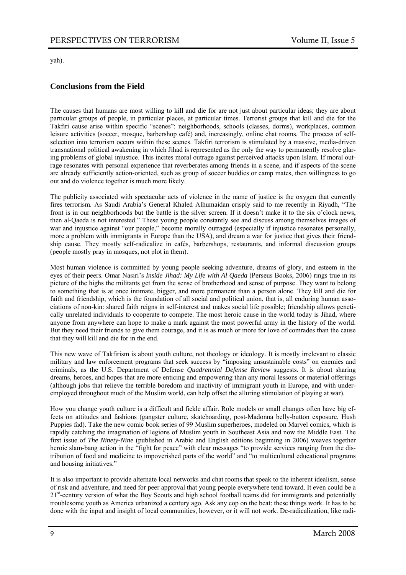yah).

#### **Conclusions from the Field**

The causes that humans are most willing to kill and die for are not just about particular ideas; they are about particular groups of people, in particular places, at particular times. Terrorist groups that kill and die for the Takfiri cause arise within specific "scenes": neighborhoods, schools (classes, dorms), workplaces, common leisure activities (soccer, mosque, barbershop café) and, increasingly, online chat rooms. The process of selfselection into terrorism occurs within these scenes. Takfiri terrorism is stimulated by a massive, media-driven transnational political awakening in which Jihad is represented as the only the way to permanently resolve glaring problems of global injustice. This incites moral outrage against perceived attacks upon Islam. If moral outrage resonates with personal experience that reverberates among friends in a scene, and if aspects of the scene are already sufficiently action-oriented, such as group of soccer buddies or camp mates, then willingness to go out and do violence together is much more likely.

The publicity associated with spectacular acts of violence in the name of justice is the oxygen that currently fires terrorism. As Saudi Arabia's General Khaled Alhumaidan crisply said to me recently in Riyadh, "The front is in our neighborhoods but the battle is the silver screen. If it doesn't make it to the six o'clock news, then al-Qaeda is not interested." These young people constantly see and discuss among themselves images of war and injustice against "our people," become morally outraged (especially if injustice resonates personally, more a problem with immigrants in Europe than the USA), and dream a war for justice that gives their friendship cause. They mostly self-radicalize in cafés, barbershops, restaurants, and informal discussion groups (people mostly pray in mosques, not plot in them).

Most human violence is committed by young people seeking adventure, dreams of glory, and esteem in the eyes of their peers. Omar Nasiri's *Inside Jihad: My Life with Al Qaeda* (Perseus Books, 2006) rings true in its picture of the highs the militants get from the sense of brotherhood and sense of purpose. They want to belong to something that is at once intimate, bigger, and more permanent than a person alone. They kill and die for faith and friendship, which is the foundation of all social and political union, that is, all enduring human associations of non-kin: shared faith reigns in self-interest and makes social life possible; friendship allows genetically unrelated individuals to cooperate to compete. The most heroic cause in the world today is Jihad, where anyone from anywhere can hope to make a mark against the most powerful army in the history of the world. But they need their friends to give them courage, and it is as much or more for love of comrades than the cause that they will kill and die for in the end.

This new wave of Takfirism is about youth culture, not theology or ideology. It is mostly irrelevant to classic military and law enforcement programs that seek success by "imposing unsustainable costs" on enemies and criminals, as the U.S. Department of Defense *Quadrennial Defense Review* suggests. It is about sharing dreams, heroes, and hopes that are more enticing and empowering than any moral lessons or material offerings (although jobs that relieve the terrible boredom and inactivity of immigrant youth in Europe, and with underemployed throughout much of the Muslim world, can help offset the alluring stimulation of playing at war).

How you change youth culture is a difficult and fickle affair. Role models or small changes often have big effects on attitudes and fashions (gangster culture, skateboarding, post-Madonna belly-button exposure, Hush Puppies fad). Take the new comic book series of 99 Muslim superheroes, modeled on Marvel comics, which is rapidly catching the imagination of legions of Muslim youth in Southeast Asia and now the Middle East. The first issue of *The Ninety-Nine* (published in Arabic and English editions beginning in 2006) weaves together heroic slam-bang action in the "fight for peace" with clear messages "to provide services ranging from the distribution of food and medicine to impoverished parts of the world" and "to multicultural educational programs and housing initiatives."

It is also important to provide alternate local networks and chat rooms that speak to the inherent idealism, sense of risk and adventure, and need for peer approval that young people everywhere tend toward. It even could be a 21<sup>st</sup>-century version of what the Boy Scouts and high school football teams did for immigrants and potentially troublesome youth as America urbanized a century ago. Ask any cop on the beat: these things work. It has to be done with the input and insight of local communities, however, or it will not work. De-radicalization, like radi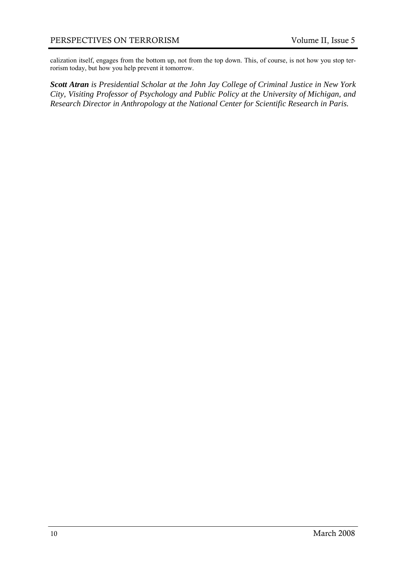calization itself, engages from the bottom up, not from the top down. This, of course, is not how you stop terrorism today, but how you help prevent it tomorrow.

*Scott Atran is Presidential Scholar at the John Jay College of Criminal Justice in New York City, Visiting Professor of Psychology and Public Policy at the University of Michigan, and Research Director in Anthropology at the National Center for Scientific Research in Paris.*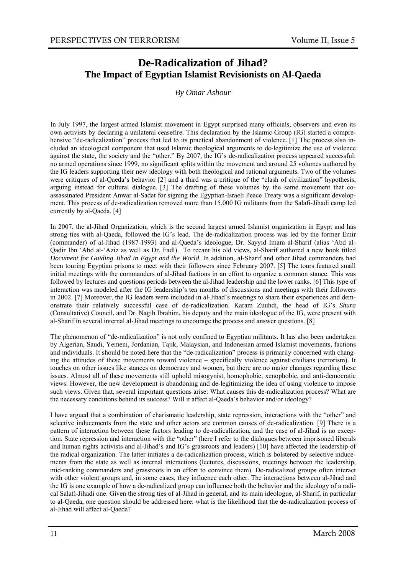## **De-Radicalization of Jihad? The Impact of Egyptian Islamist Revisionists on Al-Qaeda**

#### *By Omar Ashour*

In July 1997, the largest armed Islamist movement in Egypt surprised many officials, observers and even its own activists by declaring a unilateral ceasefire. This declaration by the Islamic Group (IG) started a comprehensive "de-radicalization" process that led to its practical abandonment of violence. [1] The process also included an ideological component that used Islamic theological arguments to de-legitimize the use of violence against the state, the society and the "other." By 2007, the IG's de-radicalization process appeared successful: no armed operations since 1999, no significant splits within the movement and around 25 volumes authored by the IG leaders supporting their new ideology with both theological and rational arguments. Two of the volumes were critiques of al-Qaeda's behavior [2] and a third was a critique of the "clash of civilization" hypothesis, arguing instead for cultural dialogue. [3] The drafting of these volumes by the same movement that coassassinated President Anwar al-Sadat for signing the Egyptian-Israeli Peace Treaty was a significant development. This process of de-radicalization removed more than 15,000 IG militants from the Salafi-Jihadi camp led currently by al-Qaeda. [4]

In 2007, the al-Jihad Organization, which is the second largest armed Islamist organization in Egypt and has strong ties with al-Qaeda, followed the IG's lead. The de-radicalization process was led by the former Emir (commander) of al-Jihad (1987-1993) and al-Qaeda's ideologue, Dr. Sayyid Imam al-Sharif (alias 'Abd al-Qadir Ibn 'Abd al-'Aziz as well as Dr. Fadl). To recant his old views, al-Sharif authored a new book titled *Document for Guiding Jihad in Egypt and the World*. In addition, al-Sharif and other Jihad commanders had been touring Egyptian prisons to meet with their followers since February 2007. [5] The tours featured small initial meetings with the commanders of al-Jihad factions in an effort to organize a common stance. This was followed by lectures and questions periods between the al-Jihad leadership and the lower ranks. [6] This type of interaction was modeled after the IG leadership's ten months of discussions and meetings with their followers in 2002. [7] Moreover, the IG leaders were included in al-Jihad's meetings to share their experiences and demonstrate their relatively successful case of de-radicalization. Karam Zuuhdi, the head of IG's *Shura*  (Consultative) Council, and Dr. Nagih Ibrahim, his deputy and the main ideologue of the IG, were present with al-Sharif in several internal al-Jihad meetings to encourage the process and answer questions. [8]

The phenomenon of "de-radicalization" is not only confined to Egyptian militants. It has also been undertaken by Algerian, Saudi, Yemeni, Jordanian, Tajik, Malaysian, and Indonesian armed Islamist movements, factions and individuals. It should be noted here that the "de-radicalization" process is primarily concerned with changing the attitudes of these movements toward violence – specifically violence against civilians (terrorism). It touches on other issues like stances on democracy and women, but there are no major changes regarding these issues. Almost all of these movements still uphold misogynist, homophobic, xenophobic, and anti-democratic views. However, the new development is abandoning and de-legitimizing the idea of using violence to impose such views. Given that, several important questions arise: What causes this de-radicalization process? What are the necessary conditions behind its success? Will it affect al-Qaeda's behavior and/or ideology?

I have argued that a combination of charismatic leadership, state repression, interactions with the "other" and selective inducements from the state and other actors are common causes of de-radicalization. [9] There is a pattern of interaction between these factors leading to de-radicalization, and the case of al-Jihad is no exception. State repression and interaction with the "other" (here I refer to the dialogues between imprisoned liberals and human rights activists and al-Jihad's and IG's grassroots and leaders) [10] have affected the leadership of the radical organization. The latter initiates a de-radicalization process, which is bolstered by selective inducements from the state as well as internal interactions (lectures, discussions, meetings between the leadership, mid-ranking commanders and grassroots in an effort to convince them). De-radicalized groups often interact with other violent groups and, in some cases, they influence each other. The interactions between al-Jihad and the IG is one example of how a de-radicalized group can influence both the behavior and the ideology of a radical Salafi-Jihadi one. Given the strong ties of al-Jihad in general, and its main ideologue, al-Sharif, in particular to al-Qaeda, one question should be addressed here: what is the likelihood that the de-radicalization process of al-Jihad will affect al-Qaeda?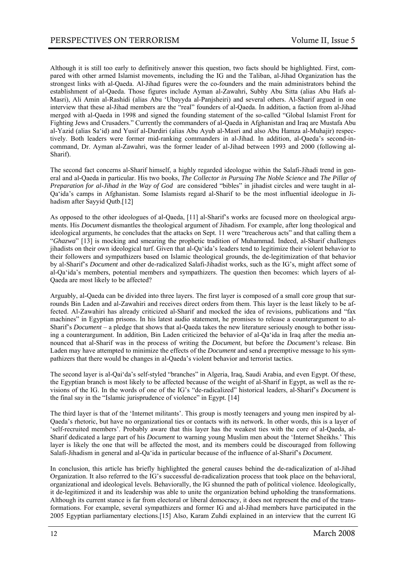Although it is still too early to definitively answer this question, two facts should be highlighted. First, compared with other armed Islamist movements, including the IG and the Taliban, al-Jihad Organization has the strongest links with al-Qaeda. Al-Jihad figures were the co-founders and the main administrators behind the establishment of al-Qaeda. Those figures include Ayman al-Zawahri, Subhy Abu Sitta (alias Abu Hafs al-Masri), Ali Amin al-Rashidi (alias Abu 'Ubayyda al-Panjsheiri) and several others. Al-Sharif argued in one interview that these al-Jihad members are the "real" founders of al-Qaeda. In addition, a faction from al-Jihad merged with al-Qaeda in 1998 and signed the founding statement of the so-called "Global Islamist Front for Fighting Jews and Crusaders." Currently the commanders of al-Qaeda in Afghanistan and Iraq are Mustafa Abu al-Yazid (alias Sa'id) and Yusif al-Dardiri (alias Abu Ayub al-Masri and also Abu Hamza al-Muhajir) respectively. Both leaders were former mid-ranking commanders in al-Jihad. In addition, al-Qaeda's second-incommand, Dr. Ayman al-Zawahri, was the former leader of al-Jihad between 1993 and 2000 (following al-Sharif).

The second fact concerns al-Sharif himself, a highly regarded ideologue within the Salafi-Jihadi trend in general and al-Qaeda in particular. His two books, *The Collector in Pursuing The Noble Science* and *The Pillar of Preparation for al-Jihad in the Way of God* are considered "bibles" in jihadist circles and were taught in al-Qa'ida's camps in Afghanistan. Some Islamists regard al-Sharif to be the most influential ideologue in Jihadism after Sayyid Qutb.[12]

As opposed to the other ideologues of al-Qaeda, [11] al-Sharif's works are focused more on theological arguments. His *Document* dismantles the theological argument of Jihadism. For example, after long theological and ideological arguments, he concludes that the attacks on Sept. 11 were "treacherous acts" and that calling them a "*Ghazwa*" [13] is mocking and smearing the prophetic tradition of Muhammad. Indeed, al-Sharif challenges jihadists on their own ideological turf. Given that al-Qa'ida's leaders tend to legitimize their violent behavior to their followers and sympathizers based on Islamic theological grounds, the de-legitimization of that behavior by al-Sharif's *Document* and other de-radicalized Salafi-Jihadist works, such as the IG's, might affect some of al-Qa'ida's members, potential members and sympathizers. The question then becomes: which layers of al-Qaeda are most likely to be affected?

Arguably, al-Qaeda can be divided into three layers. The first layer is composed of a small core group that surrounds Bin Laden and al-Zawahiri and receives direct orders from them. This layer is the least likely to be affected. Al-Zawahiri has already criticized al-Sharif and mocked the idea of revisions, publications and "fax machines" in Egyptian prisons. In his latest audio statement, he promises to release a counterargument to al-Sharif's *Document* – a pledge that shows that al-Qaeda takes the new literature seriously enough to bother issuing a counterargument. In addition, Bin Laden criticized the behavior of al-Qa'ida in Iraq after the media announced that al-Sharif was in the process of writing the *Document*, but before the *Document's* release. Bin Laden may have attempted to minimize the effects of the *Document* and send a preemptive message to his sympathizers that there would be changes in al-Qaeda's violent behavior and terrorist tactics.

The second layer is al-Qai'da's self-styled "branches" in Algeria, Iraq, Saudi Arabia, and even Egypt. Of these, the Egyptian branch is most likely to be affected because of the weight of al-Sharif in Egypt, as well as the revisions of the IG. In the words of one of the IG's "de-radicalized" historical leaders, al-Sharif's *Document* is the final say in the "Islamic jurisprudence of violence" in Egypt. [14]

The third layer is that of the 'Internet militants'. This group is mostly teenagers and young men inspired by al-Qaeda's rhetoric, but have no organizational ties or contacts with its network. In other words, this is a layer of 'self-recruited members'. Probably aware that this layer has the weakest ties with the core of al-Qaeda, al-Sharif dedicated a large part of his *Document* to warning young Muslim men about the 'Internet Sheikhs.' This layer is likely the one that will be affected the most, and its members could be discouraged from following Salafi-Jihadism in general and al-Qa'ida in particular because of the influence of al-Sharif's *Document.*

In conclusion, this article has briefly highlighted the general causes behind the de-radicalization of al-Jihad Organization. It also referred to the IG's successful de-radicalization process that took place on the behavioral, organizational and ideological levels. Behaviorally, the IG shunned the path of political violence. Ideologically, it de-legitimized it and its leadership was able to unite the organization behind upholding the transformations. Although its current stance is far from electoral or liberal democracy, it does not represent the end of the transformations. For example, several sympathizers and former IG and al-Jihad members have participated in the 2005 Egyptian parliamentary elections.[15] Also, Karam Zuhdi explained in an interview that the current IG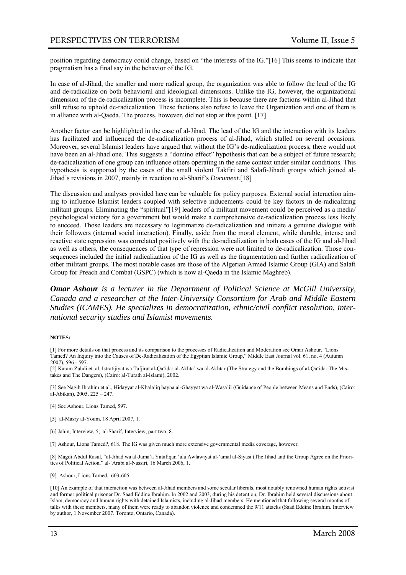position regarding democracy could change, based on "the interests of the IG."[16] This seems to indicate that pragmatism has a final say in the behavior of the IG.

In case of al-Jihad, the smaller and more radical group, the organization was able to follow the lead of the IG and de-radicalize on both behavioral and ideological dimensions. Unlike the IG, however, the organizational dimension of the de-radicalization process is incomplete. This is because there are factions within al-Jihad that still refuse to uphold de-radicalization. These factions also refuse to leave the Organization and one of them is in alliance with al-Qaeda. The process, however, did not stop at this point. [17]

Another factor can be highlighted in the case of al-Jihad. The lead of the IG and the interaction with its leaders has facilitated and influenced the de-radicalization process of al-Jihad, which stalled on several occasions. Moreover, several Islamist leaders have argued that without the IG's de-radicalization process, there would not have been an al-Jihad one. This suggests a "domino effect" hypothesis that can be a subject of future research; de-radicalization of one group can influence others operating in the same context under similar conditions. This hypothesis is supported by the cases of the small violent Takfiri and Salafi-Jihadi groups which joined al-Jihad's revisions in 2007, mainly in reaction to al-Sharif's *Document.*[18]

The discussion and analyses provided here can be valuable for policy purposes. External social interaction aiming to influence Islamist leaders coupled with selective inducements could be key factors in de-radicalizing militant groups. Eliminating the "spiritual"[19] leaders of a militant movement could be perceived as a media/ psychological victory for a government but would make a comprehensive de-radicalization process less likely to succeed. Those leaders are necessary to legitimatize de-radicalization and initiate a genuine dialogue with their followers (internal social interaction). Finally, aside from the moral element, while durable, intense and reactive state repression was correlated positively with the de-radicalization in both cases of the IG and al-Jihad as well as others, the consequences of that type of repression were not limited to de-radicalization. Those consequences included the initial radicalization of the IG as well as the fragmentation and further radicalization of other militant groups. The most notable cases are those of the Algerian Armed Islamic Group (GIA) and Salafi Group for Preach and Combat (GSPC) (which is now al-Qaeda in the Islamic Maghreb).

*Omar Ashour is a lecturer in the Department of Political Science at McGill University, Canada and a researcher at the Inter-University Consortium for Arab and Middle Eastern Studies (ICAMES). He specializes in democratization, ethnic/civil conflict resolution, international security studies and Islamist movements.* 

#### **NOTES:**

[1] For more details on that process and its comparison to the processes of Radicalization and Moderation see Omar Ashour, "Lions Tamed? An Inquiry into the Causes of De-Radicalization of the Egyptian Islamic Group," Middle East Journal vol. 61, no. 4 (Autumn  $2007$ ), 596 - 597.

[2] Karam Zuhdi et. al, Istratijiyat wa Tafjirat al-Qa'ida: al-Akhta' wa al-Akhtar (The Strategy and the Bombings of al-Qa'ida: The Mistakes and The Dangers), (Cairo: al-Turath al-Islami), 2002.

[3] See Nagih Ibrahim et al., Hidayyat al-Khala'iq bayna al-Ghayyat wa al-Wasa'il (Guidance of People between Means and Ends), (Cairo: al-Abikan), 2005, 225 – 247.

- [4] See Ashour, Lions Tamed, 597.
- [5] al-Masry al-Youm, 18 April 2007, 1.
- [6] Jahin, Interview, 5; al-Sharif, Interview, part two, 8.

[7] Ashour, Lions Tamed?, 618. The IG was given much more extensive governmental media coverage, however.

[8] Magdi Abdul Rasul, "al-Jihad wa al-Jama'a Yatafiqan 'ala Awlawiyat al-'amal al-Siyasi (The Jihad and the Group Agree on the Priorities of Political Action," al-'Arabi al-Nassiri, 16 March 2006, 1.

[9] Ashour, Lions Tamed, 603-605.

[10] An example of that interaction was between al-Jihad members and some secular liberals, most notably renowned human rights activist and former political prisoner Dr. Saad Eddine Ibrahim. In 2002 and 2003, during his detention, Dr. Ibrahim held several discussions about Islam, democracy and human rights with detained Islamists, including al-Jihad members. He mentioned that following several months of talks with these members, many of them were ready to abandon violence and condemned the 9/11 attacks (Saad Eddine Ibrahim. Interview by author, 1 November 2007. Toronto, Ontario, Canada).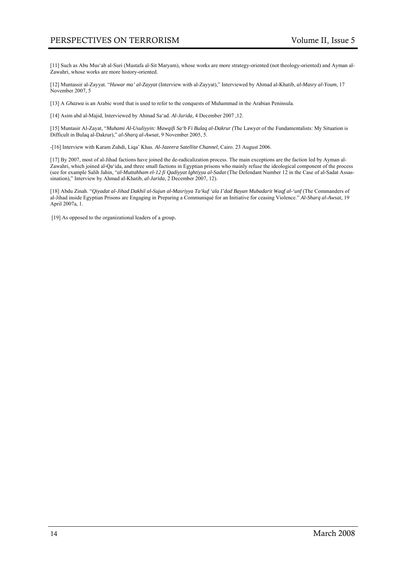[11] Such as Abu Mus'ab al-Suri (Mustafa al-Sit Maryam), whose works are more strategy-oriented (not theology-oriented) and Ayman al-Zawahri, whose works are more history-oriented.

[12] Muntassir al-Zayyat. "*Huwar ma' al-Zayyat* (Interview with al-Zayyat)," Interviewed by Ahmad al-Khatib, *al-Masry al-Youm*, 17 November 2007, 5

[13] A *Ghazwa* is an Arabic word that is used to refer to the conquests of Muhammad in the Arabian Peninsula.

[14] Asim abd al-Majid, Interviewed by Ahmad Sa'ad. *Al-Jarida,* 4 December 2007 *,*12.

[15] Muntasir Al-Zayat, "*Muhami Al-Usuliyyin: Mawqifi Sa'b Fi Bulaq al-Dakrur (*The Lawyer of the Fundamentalists: My Situation is Difficult in Bulaq al-Dakrur)," *al-Sharq al-Awsat*, 9 November 2005, 5.

-[16] Interview with Karam Zuhdi, Liqa' Khas. *Al-Jazeera Satellite Channel*, Cairo. 23 August 2006.

[17] By 2007, most of al-Jihad factions have joined the de-radicalization process. The main exceptions are the faction led by Ayman al-Zawahri, which joined al-Qa'ida, and three small factions in Egyptian prisons who mainly refuse the ideological component of the process (see for example Salih Jahin, "*al-Muttahham el-12 fi Qadiyyat Ightiyya al-Sadat* (The Defendant Number 12 in the Case of al-Sadat Assassination)," Interview by Ahmad al-Khatib, *al-Jarida*, 2 December 2007, 12).

[18] Abdu Zinah. "*Qiyadat al-Jihad Dakhil al-Sujun al-Masriyya Ta'kuf 'ala I'dad Bayan Mubadarit Waqf al-'unf* (The Commanders of al-Jihad inside Egyptian Prisons are Engaging in Preparing a Communiqué for an Initiative for ceasing Violence." *Al-Sharq al-Awsat,* 19 April 2007a, 1.

[19] As opposed to the organizational leaders of a group.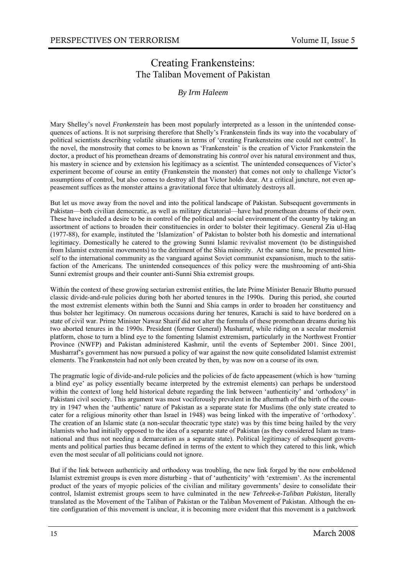### Creating Frankensteins: The Taliban Movement of Pakistan

#### *By Irm Haleem*

Mary Shelley's novel *Frankenstein* has been most popularly interpreted as a lesson in the unintended consequences of actions. It is not surprising therefore that Shelly's Frankenstein finds its way into the vocabulary of political scientists describing volatile situations in terms of 'creating Frankensteins one could not control'. In the novel, the monstrosity that comes to be known as 'Frankenstein' is the creation of Victor Frankenstein the doctor, a product of his promethean dreams of demonstrating his *control* over his natural environment and thus, his mastery in science and by extension his legitimacy as a scientist. The unintended consequences of Victor's experiment become of course an entity (Frankenstein the monster) that comes not only to challenge Victor's assumptions of control, but also comes to destroy all that Victor holds dear. At a critical juncture, not even appeasement suffices as the monster attains a gravitational force that ultimately destroys all.

But let us move away from the novel and into the political landscape of Pakistan. Subsequent governments in Pakistan—both civilian democratic, as well as military dictatorial—have had promethean dreams of their own. These have included a desire to be in control of the political and social environment of the country by taking an assortment of actions to broaden their constituencies in order to bolster their legitimacy. General Zia ul-Haq (1977-88), for example, instituted the 'Islamization' of Pakistan to bolster both his domestic and international legitimacy. Domestically he catered to the growing Sunni Islamic revivalist movement (to be distinguished from Islamist extremist movements) to the detriment of the Shia minority. At the same time, he presented himself to the international community as the vanguard against Soviet communist expansionism, much to the satisfaction of the Americans. The unintended consequences of this policy were the mushrooming of anti-Shia Sunni extremist groups and their counter anti-Sunni Shia extremist groups.

Within the context of these growing sectarian extremist entities, the late Prime Minister Benazir Bhutto pursued classic divide-and-rule policies during both her aborted tenures in the 1990s. During this period, she courted the most extremist elements within both the Sunni and Shia camps in order to broaden her constituency and thus bolster her legitimacy. On numerous occasions during her tenures, Karachi is said to have bordered on a state of civil war. Prime Minister Nawaz Sharif did not alter the formula of these promethean dreams during his two aborted tenures in the 1990s. President (former General) Musharraf, while riding on a secular modernist platform, chose to turn a blind eye to the fomenting Islamist extremism, particularly in the Northwest Frontier Province (NWFP) and Pakistan administered Kashmir, until the events of September 2001. Since 2001, Musharraf's government has now pursued a policy of war against the now quite consolidated Islamist extremist elements. The Frankenstein had not only been created by then, by was now on a course of its own.

The pragmatic logic of divide-and-rule policies and the policies of de facto appeasement (which is how 'turning a blind eye' as policy essentially became interpreted by the extremist elements) can perhaps be understood within the context of long held historical debate regarding the link between 'authenticity' and 'orthodoxy' in Pakistani civil society. This argument was most vociferously prevalent in the aftermath of the birth of the country in 1947 when the 'authentic' nature of Pakistan as a separate state for Muslims (the only state created to cater for a religious minority other than Israel in 1948) was being linked with the imperative of 'orthodoxy'. The creation of an Islamic state (a non-secular theocratic type state) was by this time being hailed by the very Islamists who had initially opposed to the idea of a separate state of Pakistan (as they considered Islam as transnational and thus not needing a demarcation as a separate state). Political legitimacy of subsequent governments and political parties thus became defined in terms of the extent to which they catered to this link, which even the most secular of all politicians could not ignore.

But if the link between authenticity and orthodoxy was troubling, the new link forged by the now emboldened Islamist extremist groups is even more disturbing - that of 'authenticity' with 'extremism'. As the incremental product of the years of myopic policies of the civilian and military governments' desire to consolidate their control, Islamist extremist groups seem to have culminated in the new *Tehreek-e-Taliban Pakistan*, literally translated as the Movement of the Taliban of Pakistan or the Taliban Movement of Pakistan. Although the entire configuration of this movement is unclear, it is becoming more evident that this movement is a patchwork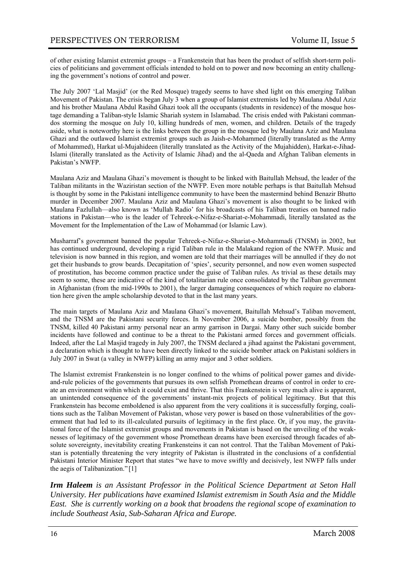of other existing Islamist extremist groups – a Frankenstein that has been the product of selfish short-term policies of politicians and government officials intended to hold on to power and now becoming an entity challenging the government's notions of control and power.

The July 2007 'Lal Masjid' (or the Red Mosque) tragedy seems to have shed light on this emerging Taliban Movement of Pakistan. The crisis began July 3 when a group of Islamist extremists led by Maulana Abdul Aziz and his brother Maulana Abdul Rasihd Ghazi took all the occupants (students in residence) of the mosque hostage demanding a Taliban-style Islamic Shariah system in Islamabad. The crisis ended with Pakistani commandos storming the mosque on July 10, killing hundreds of men, women, and children. Details of the tragedy aside, what is noteworthy here is the links between the group in the mosque led by Maulana Aziz and Maulana Ghazi and the outlawed Islamist extremist groups such as Jaish-e-Mohammed (literally translated as the Army of Mohammed), Harkat ul-Mujahideen (literally translated as the Activity of the Mujahidden), Harkat-e-Jihad-Islami (literally translated as the Activity of Islamic Jihad) and the al-Qaeda and Afghan Taliban elements in Pakistan's NWFP.

Maulana Aziz and Maulana Ghazi's movement is thought to be linked with Baitullah Mehsud, the leader of the Taliban militants in the Waziristan section of the NWFP. Even more notable perhaps is that Baitullah Mehsud is thought by some in the Pakistani intelligence community to have been the mastermind behind Benazir Bhutto murder in December 2007. Maulana Aziz and Maulana Ghazi's movement is also thought to be linked with Maulana Fazlullah—also known as 'Mullah Radio' for his broadcasts of his Taliban treaties on banned radio stations in Pakistan—who is the leader of Tehreek-e-Nifaz-e-Shariat-e-Mohammadi, literally tanslated as the Movement for the Implementation of the Law of Mohammad (or Islamic Law).

Musharraf's government banned the popular Tehreek-e-Nifaz-e-Shariat-e-Mohammadi (TNSM) in 2002, but has continued underground, developing a rigid Taliban rule in the Malakand region of the NWFP. Music and television is now banned in this region, and women are told that their marriages will be annulled if they do not get their husbands to grow beards. Decapitation of 'spies', security personnel, and now even women suspected of prostitution, has become common practice under the guise of Taliban rules. As trivial as these details may seem to some, these are indicative of the kind of totalitarian rule once consolidated by the Taliban government in Afghanistan (from the mid-1990s to 2001), the larger damaging consequences of which require no elaboration here given the ample scholarship devoted to that in the last many years.

The main targets of Maulana Aziz and Maulana Ghazi's movement, Baitullah Mehsud's Taliban movement, and the TNSM are the Pakistani security forces. In November 2006, a suicide bomber, possibly from the TNSM, killed 40 Pakistani army personal near an army garrison in Dargai. Many other such suicide bomber incidents have followed and continue to be a threat to the Pakistani armed forces and government officials. Indeed, after the Lal Masjid tragedy in July 2007, the TNSM declared a jihad against the Pakistani government, a declaration which is thought to have been directly linked to the suicide bomber attack on Pakistani soldiers in July 2007 in Swat (a valley in NWFP) killing an army major and 3 other soldiers.

The Islamist extremist Frankenstein is no longer confined to the whims of political power games and divideand-rule policies of the governments that pursues its own selfish Promethean dreams of control in order to create an environment within which it could exist and thrive. That this Frankenstein is very much alive is apparent, an unintended consequence of the governments' instant-mix projects of political legitimacy. But that this Frankenstein has become emboldened is also apparent from the very coalitions it is successfully forging, coalitions such as the Taliban Movement of Pakistan, whose very power is based on those vulnerabilities of the government that had led to its ill-calculated pursuits of legitimacy in the first place. Or, if you may, the gravitational force of the Islamist extremist groups and movements in Pakistan is based on the unveiling of the weaknesses of legitimacy of the government whose Promethean dreams have been exercised through facades of absolute sovereignty, inevitability creating Frankensteins it can not control. That the Taliban Movement of Pakistan is potentially threatening the very integrity of Pakistan is illustrated in the conclusions of a confidential Pakistani Interior Minister Report that states "we have to move swiftly and decisively, lest NWFP falls under the aegis of Talibanization." [1]

*Irm Haleem is an Assistant Professor in the Political Science Department at Seton Hall University. Her publications have examined Islamist extremism in South Asia and the Middle East. She is currently working on a book that broadens the regional scope of examination to include Southeast Asia, Sub-Saharan Africa and Europe.*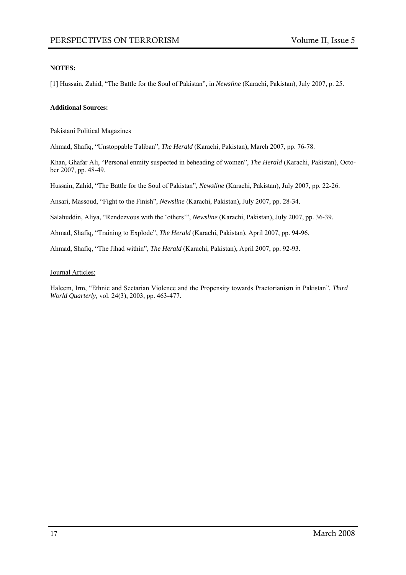#### **NOTES:**

[1] Hussain, Zahid, "The Battle for the Soul of Pakistan", in *Newsline* (Karachi, Pakistan), July 2007, p. 25.

#### **Additional Sources:**

Pakistani Political Magazines

Ahmad, Shafiq, "Unstoppable Taliban", *The Herald* (Karachi, Pakistan), March 2007, pp. 76-78.

Khan, Ghafar Ali, "Personal enmity suspected in beheading of women", *The Herald* (Karachi, Pakistan), October 2007, pp. 48-49.

Hussain, Zahid, "The Battle for the Soul of Pakistan", *Newsline* (Karachi, Pakistan), July 2007, pp. 22-26.

Ansari, Massoud, "Fight to the Finish", *Newsline* (Karachi, Pakistan), July 2007, pp. 28-34.

Salahuddin, Aliya, "Rendezvous with the 'others'", *Newsline* (Karachi, Pakistan), July 2007, pp. 36-39.

Ahmad, Shafiq, "Training to Explode", *The Herald* (Karachi, Pakistan), April 2007, pp. 94-96.

Ahmad, Shafiq, "The Jihad within", *The Herald* (Karachi, Pakistan), April 2007, pp. 92-93.

#### Journal Articles:

Haleem, Irm, "Ethnic and Sectarian Violence and the Propensity towards Praetorianism in Pakistan", *Third World Quarterly,* vol. 24(3), 2003, pp. 463-477.